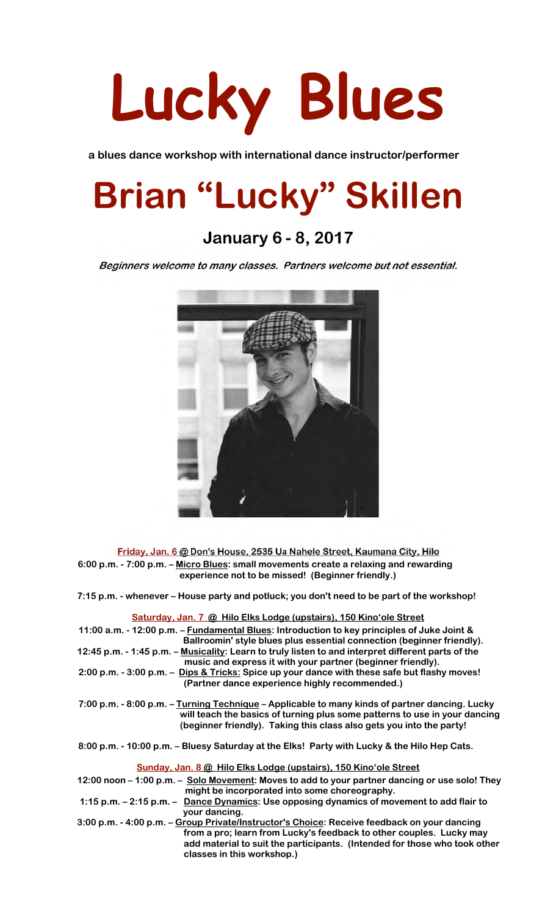

**a blues dance workshop with international dance instructor/performer** 

# **Brian "Lucky" Skillen**

## **January 6 - 8, 2017**

Beginners welcome to many classes. Partners welcome but not essential.



Friday, Jan. 6 @ Don's House, 2535 Ua Nahele Street, Kaumana City, Hilo **6:00 p.m. - 7:00 p.m. – Micro Blues: small movements create a relaxing and rewarding experience not to be missed! (Beginner friendly.)**

**7:15 p.m. - whenever – House party and potluck; you don't need to be part of the workshop!**

 **Saturday, Jan. 7 @ Hilo Elks Lodge (upstairs), 150 Kino'ole Street**

| 11:00 a.m. - 12:00 p.m. - Fundamental Blues: Introduction to key principles of Juke Joint &<br>Ballroomin' style blues plus essential connection (beginner friendly).                                                                                |
|------------------------------------------------------------------------------------------------------------------------------------------------------------------------------------------------------------------------------------------------------|
| 12:45 p.m. - 1:45 p.m. – Musicality: Learn to truly listen to and interpret different parts of the<br>music and express it with your partner (beginner friendly).                                                                                    |
| 2:00 p.m. - 3:00 p.m. - Dips & Tricks: Spice up your dance with these safe but flashy moves!<br>(Partner dance experience highly recommended.)                                                                                                       |
| 7:00 p.m. - 8:00 p.m. – Turning Technique – Applicable to many kinds of partner dancing. Lucky<br>will teach the basics of turning plus some patterns to use in your dancing<br>(beginner friendly). Taking this class also gets you into the party! |
| 8:00 p.m. - 10:00 p.m. - Bluesy Saturday at the Elks! Party with Lucky & the Hilo Hep Cats.                                                                                                                                                          |
| Sunday, Jan. 8 @ Hilo Elks Lodge (upstairs), 150 Kino'ole Street                                                                                                                                                                                     |
| 12:00 noon – 1:00 p.m. – Solo Movement: Moves to add to your partner dancing or use solo! They<br>might be incorporated into some choreography.                                                                                                      |
| 1:15 p.m. – 2:15 p.m. – Dance Dynamics: Use opposing dynamics of movement to add flair to<br>your dancing.                                                                                                                                           |
| 3:00 p.m. - 4:00 p.m. - Group Private/Instructor's Choice: Receive feedback on your dancing                                                                                                                                                          |
| from a pro; learn from Lucky's feedback to other couples. Lucky may                                                                                                                                                                                  |
| add material to suit the participants. (Intended for those who took other                                                                                                                                                                            |
| classes in this workshop.)                                                                                                                                                                                                                           |